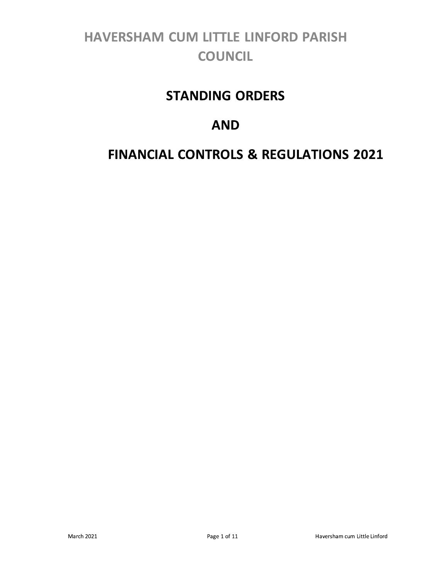# **HAVERSHAM CUM LITTLE LINFORD PARISH COUNCIL**

## **STANDING ORDERS**

## **AND**

## **FINANCIAL CONTROLS & REGULATIONS 2021**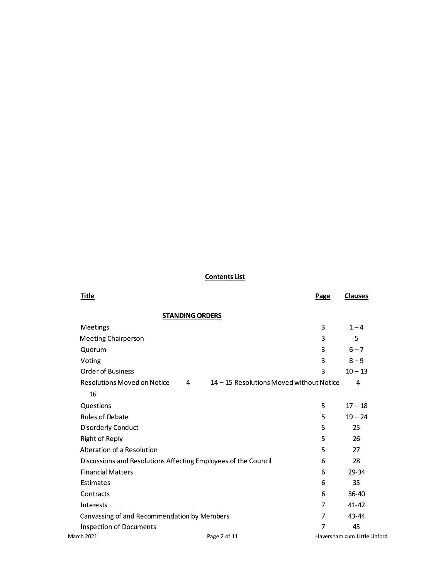## **Contents List**

| <u>Title</u>                                                                        | <b>Page</b> | <b>Clauses</b>           |
|-------------------------------------------------------------------------------------|-------------|--------------------------|
| <b>STANDING ORDERS</b>                                                              |             |                          |
| Meetings                                                                            | 3           | $1 - 4$                  |
| <b>Meeting Chairperson</b>                                                          | 3           | 5                        |
| Quorum                                                                              | 3           | $6 - 7$                  |
| Voting                                                                              | 3           | $8 - 9$                  |
| <b>Order of Business</b>                                                            | 3           | $10 - 13$                |
| <b>Resolutions Moved on Notice</b><br>14 - 15 Resolutions Moved without Notice<br>4 |             | 4                        |
| 16                                                                                  |             |                          |
| Questions                                                                           | 5           | $17 - 18$                |
| <b>Rules of Debate</b>                                                              | 5           | $19 - 24$                |
| Disorderly Conduct                                                                  | 5           | 25                       |
| <b>Right of Reply</b>                                                               | 5           | 26                       |
| Alteration of a Resolution                                                          | 5           | 27                       |
| Discussions and Resolutions Affecting Employees of the Council                      | 6           | 28                       |
| <b>Financial Matters</b>                                                            | 6           | 29-34                    |
| Estimates                                                                           | 6           | 35                       |
| Contracts                                                                           | 6           | 36-40                    |
| Interests                                                                           | 7           | 41-42                    |
| Canvassing of and Recommendation by Members                                         | 7           | 43-44                    |
| <b>Inspection of Documents</b>                                                      | 7           | 45                       |
| <b>March 2021</b><br>Page 2 of 11                                                   |             | Haversham cum Little Lin |

Haversham cum Little Linford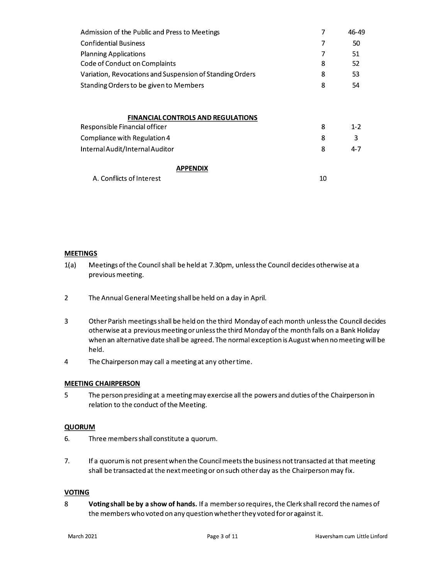| Admission of the Public and Press to Meetings            | 7  | 46-49   |
|----------------------------------------------------------|----|---------|
| <b>Confidential Business</b>                             | 7  | 50      |
| <b>Planning Applications</b>                             | 7  | 51      |
| Code of Conduct on Complaints                            | 8  | 52      |
| Variation, Revocations and Suspension of Standing Orders | 8  | 53      |
| Standing Orders to be given to Members                   | 8  | 54      |
| <b>FINANCIAL CONTROLS AND REGULATIONS</b>                |    |         |
| Responsible Financial officer                            | 8  | $1 - 2$ |
| Compliance with Regulation 4                             | 8  | 3       |
| Internal Audit/Internal Auditor                          | 8  | $4 - 7$ |
| APPENDIX                                                 |    |         |
| A. Conflicts of Interest                                 | 10 |         |

## **MEETINGS**

- $1(a)$ Meetings of the Council shall be held at 7.30pm, unless the Council decides otherwise at a previous meeting.
- $\overline{2}$ The Annual General Meeting shall be held on a day in April.
- 3 Other Parish meetings shall be held on the third Monday of each month unless the Council decides otherwise at a previous meeting or unless the third Monday of the month falls on a Bank Holiday when an alternative date shall be agreed. The normal exception is August when no meeting will be held.
- $\overline{4}$ The Chairperson may call a meeting at any other time.

## **MEETING CHAIRPERSON**

5 The person presiding at a meeting may exercise all the powers and duties of the Chairperson in relation to the conduct of the Meeting.

## **QUORUM**

- 6. Three members shall constitute a quorum.
- $7.$ If a quorum is not present when the Council meets the business not transacted at that meeting shall be transacted at the next meeting or on such other day as the Chairperson may fix.

## **VOTING**

8 Voting shall be by a show of hands. If a member so requires, the Clerk shall record the names of the members who voted on any question whether they voted for or against it.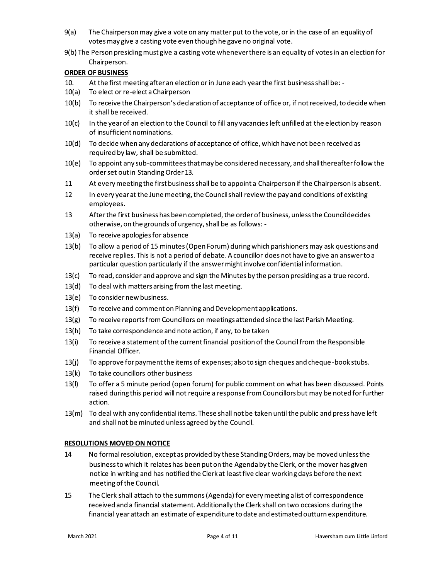- $9(a)$ The Chairperson may give a vote on any matter put to the vote, or in the case of an equality of votes may give a casting vote even though he gave no original vote.
- 9(b) The Person presiding must give a casting vote whenever there is an equality of votes in an election for Chairperson.

## **ORDER OF BUSINESS**

- 10. At the first meeting after an election or in June each year the first business shall be: -
- $10(a)$ To elect or re-elect a Chairperson
- 10(b) To receive the Chairperson's declaration of acceptance of office or, if not received, to decide when it shall be received.
- $10(c)$ In the year of an election to the Council to fill any vacancies left unfilled at the election by reason of insufficient nominations.
- $10(d)$ To decide when any declarations of acceptance of office, which have not been received as required by law, shall be submitted.
- $10(e)$ To appoint any sub-committees that may be considered necessary, and shall thereafter follow the order set out in Standing Order 13.
- 11 At every meeting the first business shall be to appoint a Chairperson if the Chairperson is absent.
- 12 In every year at the June meeting, the Council shall review the pay and conditions of existing employees.
- 13 After the first business has been completed, the order of business, unless the Council decides otherwise, on the grounds of urgency, shall be as follows: -
- $13(a)$ To receive apologies for absence
- $13(b)$ To allow a period of 15 minutes (Open Forum) during which parishioners may ask questions and receive replies. This is not a period of debate. A councillor does not have to give an answer to a particular question particularly if the answer might involve confidential information.
- $13(c)$ To read, consider and approve and sign the Minutes by the person presiding as a true record.
- $13(d)$ To deal with matters arising from the last meeting.
- 13(e) To consider new business.
- To receive and comment on Planning and Development applications.  $13(f)$
- To receive reports from Councillors on meetings attended since the last Parish Meeting.  $13(g)$
- To take correspondence and note action, if any, to be taken  $13(h)$
- To receive a statement of the current financial position of the Council from the Responsible  $13(i)$ Financial Officer.
- $13(j)$ To approve for payment the items of expenses; also to sign cheques and cheque-book stubs.
- $13(k)$ To take councillors other business
- To offer a 5 minute period (open forum) for public comment on what has been discussed. Points  $13(1)$ raised during this period will not require a response from Councillors but may be noted for further action.
- 13(m) To deal with any confidential items. These shall not be taken until the public and press have left and shall not be minuted unless agreed by the Council.

## **RESOLUTIONS MOVED ON NOTICE**

- 14 No formal resolution, except as provided by these Standing Orders, may be moved unless the business to which it relates has been put on the Agenda by the Clerk, or the mover has given notice in writing and has notified the Clerk at least five clear working days before the next meeting of the Council.
- 15 The Clerk shall attach to the summons (Agenda) for every meeting a list of correspondence received and a financial statement. Additionally the Clerk shall on two occasions during the financial year attach an estimate of expenditure to date and estimated outturn expenditure.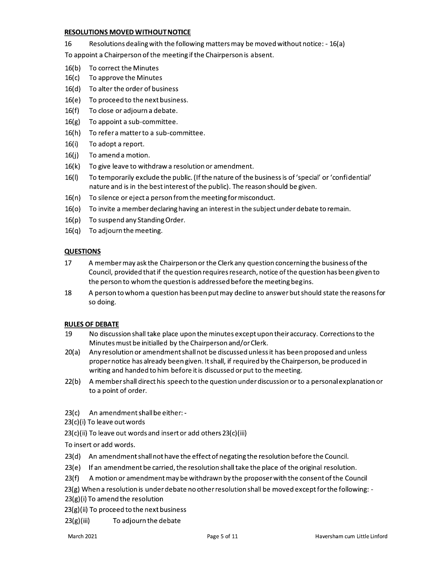## **RESOLUTIONS MOVED WITHOUT NOTICE**

16 Resolutions dealing with the following matters may be moved without notice: - 16(a)

To appoint a Chairperson of the meeting if the Chairperson is absent.

- 16(b) To correct the Minutes
- $16(c)$ To approve the Minutes
- 16(d) To alter the order of business
- 16(e) To proceed to the next business.
- $16(f)$ To close or adjourn a debate.
- $16(g)$ To appoint a sub-committee.
- 16(h) To refer a matter to a sub-committee.
- $16(i)$ To adopt a report.
- $16(i)$ To amend a motion.
- $16(k)$ To give leave to withdraw a resolution or amendment.
- $16(1)$ To temporarily exclude the public. (If the nature of the business is of 'special' or 'confidential' nature and is in the best interest of the public). The reason should be given.
- $16(n)$ To silence or eject a person from the meeting for misconduct.
- 16(o) To invite a member declaring having an interest in the subject under debate to remain.
- 16(p) To suspend any Standing Order.
- $16(q)$  To adjourn the meeting.

## **QUESTIONS**

- 17 A member may ask the Chairperson or the Clerk any question concerning the business of the Council, provided that if the question requires research, notice of the question has been given to the person to whom the question is addressed before the meeting begins.
- 18 A person to whom a question has been put may decline to answer but should state the reasons for so doing.

## **RULES OF DEBATE**

- 19 No discussion shall take place upon the minutes except upon their accuracy. Corrections to the Minutes must be initialled by the Chairperson and/or Clerk.
- Any resolution or amendment shall not be discussed unless it has been proposed and unless  $20(a)$ proper notice has already been given. It shall, if required by the Chairperson, be produced in writing and handed to him before it is discussed or put to the meeting.
- $22(b)$ A member shall direct his speech to the question under discussion or to a personal explanation or to a point of order.
- 23(c) An amendment shall be either: -
- 23(c)(i) To leave out words
- 23(c)(ii) To leave out words and insert or add others 23(c)(iii)

To insert or add words.

- 23(d) An amendment shall not have the effect of negating the resolution before the Council.
- $23(e)$  If an amendment be carried, the resolution shall take the place of the original resolution.
- 23(f) A motion or amendment may be withdrawn by the proposer with the consent of the Council

23(g) When a resolution is under debate no other resolution shall be moved except for the following: -

23(g)(i) To amend the resolution

23(g)(ii) To proceed to the next business

 $23(g)(iii)$ To adjourn the debate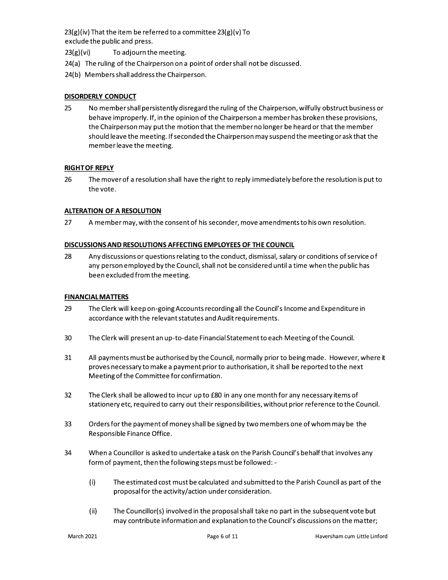$23(g)(iv)$  That the item be referred to a committee  $23(g)(v)$  To exclude the public and press.

- To adjourn the meeting.  $23(g)(vi)$
- 24(a) The ruling of the Chairperson on a point of order shall not be discussed.
- 24(b) Members shall address the Chairperson.

## DISORDERLY CONDUCT

25 No member shall persistently disregard the ruling of the Chairperson, wilfully obstruct business or behave improperly. If, in the opinion of the Chairperson a member has broken these provisions, the Chairperson may put the motion that the member no longer be heard or that the member should leave the meeting. If seconded the Chairperson may suspend the meeting or ask that the member leave the meeting.

## **RIGHT OF REPLY**

26 The mover of a resolution shall have the right to reply immediately before the resolution is put to the vote.

## **ALTERATION OF A RESOLUTION**

27 A member may, with the consent of his seconder, move amendments to his own resolution.

## DISCUSSIONS AND RESOLUTIONS AFFECTING EMPLOYEES OF THE COUNCIL

28 Any discussions or questions relating to the conduct, dismissal, salary or conditions of service of any person employed by the Council, shall not be considered until a time when the public has been excluded from the meeting.

## **FINANCIAL MATTERS**

- 29 The Clerk will keep on-going Accounts recording all the Council's Income and Expenditure in accordance with the relevant statutes and Audit requirements.
- 30 The Clerk will present an up-to-date Financial Statement to each Meeting of the Council.
- 31 All payments must be authorised by the Council, normally prior to being made. However, where it proves necessary to make a payment prior to authorisation, it shall be reported to the next Meeting of the Committee for confirmation.
- 32 The Clerk shall be allowed to incur up to £80 in any one month for any necessary items of stationery etc, required to carry out their responsibilities, without prior reference to the Council.
- 33 Orders for the payment of money shall be signed by two members one of whom may be the Responsible Finance Office.
- 34 When a Councillor is asked to undertake a task on the Parish Council's behalf that involves any form of payment, then the following steps must be followed: -
	- $(i)$ The estimated cost must be calculated and submitted to the Parish Council as part of the proposal for the activity/action under consideration.
	- $(ii)$ The Councillor(s) involved in the proposal shall take no part in the subsequent vote but may contribute information and explanation to the Council's discussions on the matter;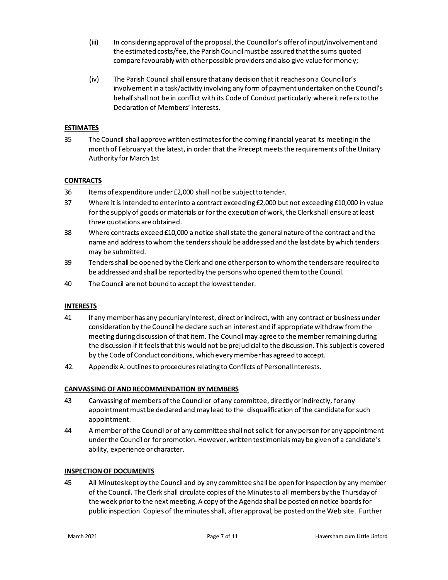- $(iii)$ In considering approval of the proposal, the Councillor's offer of input/involvement and the estimated costs/fee, the Parish Council must be assured that the sums quoted compare favourably with other possible providers and also give value for money;
- $(iv)$ The Parish Council shall ensure that any decision that it reaches on a Councillor's involvement in a task/activity involving any form of payment undertaken on the Council's behalf shall not be in conflict with its Code of Conduct particularly where it refers to the Declaration of Members' Interests.

## **ESTIMATES**

35 The Council shall approve written estimates for the coming financial year at its meeting in the month of February at the latest, in order that the Precept meets the requirements of the Unitary Authority for March 1st

## **CONTRACTS**

- 36 Items of expenditure under £2,000 shall not be subject to tender.
- 37 Where it is intended to enter into a contract exceeding £2,000 but not exceeding £10,000 in value for the supply of goods or materials or for the execution of work, the Clerk shall ensure at least three quotations are obtained.
- 38 Where contracts exceed £10,000 a notice shall state the general nature of the contract and the name and address to whom the tenders should be addressed and the last date by which tenders may be submitted.
- 39 Tenders shall be opened by the Clerk and one other person to whom the tenders are required to be addressed and shall be reported by the persons who opened them to the Council.
- 40 The Council are not bound to accept the lowest tender.

## **INTERESTS**

- 41 If any member has any pecuniary interest, direct or indirect, with any contract or business under consideration by the Council he declare such an interest and if appropriate withdraw from the meeting during discussion of that item. The Council may agree to the member remaining during the discussion if it feels that this would not be prejudicial to the discussion. This subject is covered by the Code of Conduct conditions, which every member has agreed to accept.
- 42. Appendix A. outlines to procedures relating to Conflicts of Personal Interests.

## **CANVASSING OF AND RECOMMENDATION BY MEMBERS**

- 43 Canvassing of members of the Council or of any committee, directly or indirectly, for any appointment must be declared and may lead to the disqualification of the candidate for such appointment.
- 44 A member of the Council or of any committee shall not solicit for any person for any appointment under the Council or for promotion. However, written testimonials may be given of a candidate's ability, experience or character.

## **INSPECTION OF DOCUMENTS**

45 All Minutes kept by the Council and by any committee shall be open for inspection by any member of the Council. The Clerk shall circulate copies of the Minutes to all members by the Thursday of the week prior to the next meeting. A copy of the Agenda shall be posted on notice boards for public inspection. Copies of the minutes shall, after approval, be posted on the Web site. Further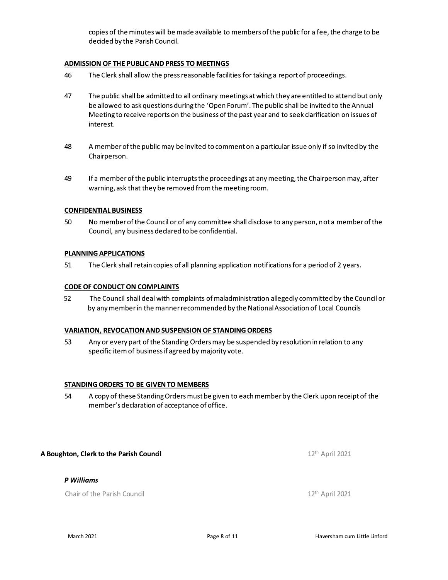copies of the minutes will be made available to members of the public for a fee, the charge to be decided by the Parish Council.

## ADMISSION OF THE PUBLIC AND PRESS TO MEETINGS

- The Clerk shall allow the press reasonable facilities for taking a report of proceedings. 46
- 47 The public shall be admitted to all ordinary meetings at which they are entitled to attend but only be allowed to ask questions during the 'Open Forum'. The public shall be invited to the Annual Meeting to receive reports on the business of the past year and to seek clarification on issues of interest.
- 48 A member of the public may be invited to comment on a particular issue only if so invited by the Chairperson.
- 49 If a member of the public interrupts the proceedings at any meeting, the Chairperson may, after warning, ask that they be removed from the meeting room.

## **CONFIDENTIAL BUSINESS**

50 No member of the Council or of any committee shall disclose to any person, not a member of the Council, any business declared to be confidential.

## PLANNING APPLICATIONS

51 The Clerk shall retain copies of all planning application notifications for a period of 2 years.

## **CODE OF CONDUCT ON COMPLAINTS**

52 The Council shall deal with complaints of maladministration allegedly committed by the Council or by any member in the manner recommended by the National Association of Local Councils

## **VARIATION, REVOCATION AND SUSPENSION OF STANDING ORDERS**

Any or every part of the Standing Orders may be suspended by resolution in relation to any 53 specific item of business if agreed by majority vote.

## STANDING ORDERS TO BE GIVEN TO MEMBERS

54 A copy of these Standing Orders must be given to each member by the Clerk upon receipt of the member's declaration of acceptance of office.

## A Boughton, Clerk to the Parish Council

## P Williams

Chair of the Parish Council

12<sup>th</sup> April 2021

12<sup>th</sup> April 2021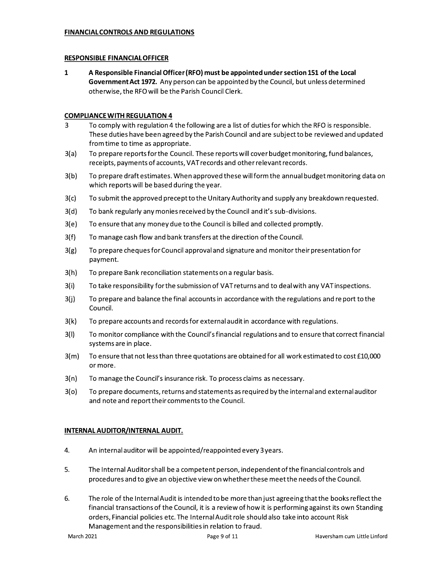## **FINANCIAL CONTROLS AND REGULATIONS**

## **RESPONSIBLE FINANCIAL OFFICER**

 $\mathbf{1}$ A Responsible Financial Officer (RFO) must be appointed under section 151 of the Local Government Act 1972. Any person can be appointed by the Council, but unless determined otherwise, the RFO will be the Parish Council Clerk.

## **COMPLIANCE WITH REGULATION 4**

- To comply with regulation 4 the following are a list of duties for which the RFO is responsible. 3 These duties have been agreed by the Parish Council and are subject to be reviewed and updated from time to time as appropriate.
- $3(a)$ To prepare reports for the Council. These reports will cover budget monitoring, fund balances, receipts, payments of accounts, VAT records and other relevant records.
- $3(b)$ To prepare draft estimates. When approved these will form the annual budget monitoring data on which reports will be based during the year.
- $3(c)$ To submit the approved precept to the Unitary Authority and supply any breakdown requested.
- $3(d)$ To bank regularly any monies received by the Council and it's sub-divisions.
- To ensure that any money due to the Council is billed and collected promptly.  $3(e)$
- $3(f)$ To manage cash flow and bank transfers at the direction of the Council.
- $3(g)$ To prepare cheques for Council approval and signature and monitor their presentation for payment.
- $3(h)$ To prepare Bank reconciliation statements on a regular basis.
- $3(i)$ To take responsibility for the submission of VAT returns and to deal with any VAT inspections.
- $3(j)$ To prepare and balance the final accounts in accordance with the regulations and report to the Council.
- $3(k)$ To prepare accounts and records for external audit in accordance with regulations.
- $3(1)$ To monitor compliance with the Council's financial regulations and to ensure that correct financial systems are in place.
- $3(m)$ To ensure that not less than three quotations are obtained for all work estimated to cost £10,000 or more.
- $3(n)$ To manage the Council's insurance risk. To process claims as necessary.
- $3(o)$ To prepare documents, returns and statements as required by the internal and external auditor and note and report their comments to the Council.

## INTERNAL AUDITOR/INTERNAL AUDIT.

- 4. An internal auditor will be appointed/reappointed every 3 years.
- 5. The Internal Auditor shall be a competent person, independent of the financial controls and procedures and to give an objective view on whether these meet the needs of the Council.
- 6. The role of the Internal Audit is intended to be more than just agreeing that the books reflect the financial transactions of the Council, it is a review of how it is performing against its own Standing orders, Financial policies etc. The Internal Audit role should also take into account Risk Management and the responsibilities in relation to fraud.